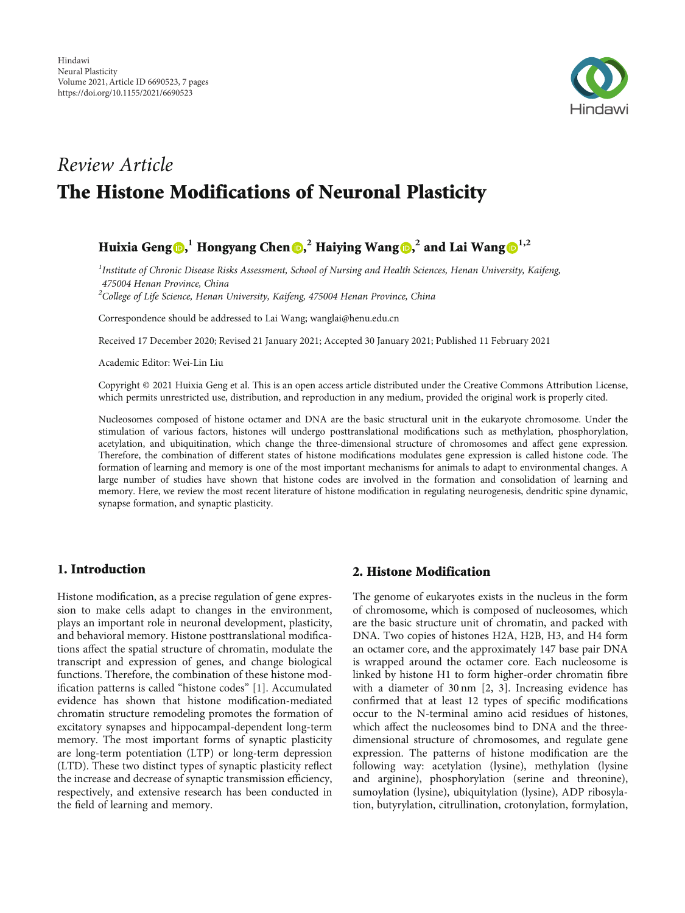

# Review Article The Histone Modifications of Neuronal Plasticity

# Huixia Geng $\textbf{0,}^1$  $\textbf{0,}^1$  $\textbf{0,}^1$  $\textbf{0,}^1$  Hongyang Chen $\textbf{0,}^2$  Haiying Wang $\textbf{0,}^2$  and Lai Wang $\textbf{0}^{1,2}$

<sup>1</sup>Institute of Chronic Disease Risks Assessment, School of Nursing and Health Sciences, Henan University, Kaifeng, 475004 Henan Province, China

<sup>2</sup>College of Life Science, Henan University, Kaifeng, 475004 Henan Province, China

Correspondence should be addressed to Lai Wang; wanglai@henu.edu.cn

Received 17 December 2020; Revised 21 January 2021; Accepted 30 January 2021; Published 11 February 2021

Academic Editor: Wei-Lin Liu

Copyright © 2021 Huixia Geng et al. This is an open access article distributed under the [Creative Commons Attribution License](https://creativecommons.org/licenses/by/4.0/), which permits unrestricted use, distribution, and reproduction in any medium, provided the original work is properly cited.

Nucleosomes composed of histone octamer and DNA are the basic structural unit in the eukaryote chromosome. Under the stimulation of various factors, histones will undergo posttranslational modifications such as methylation, phosphorylation, acetylation, and ubiquitination, which change the three-dimensional structure of chromosomes and affect gene expression. Therefore, the combination of different states of histone modifications modulates gene expression is called histone code. The formation of learning and memory is one of the most important mechanisms for animals to adapt to environmental changes. A large number of studies have shown that histone codes are involved in the formation and consolidation of learning and memory. Here, we review the most recent literature of histone modification in regulating neurogenesis, dendritic spine dynamic, synapse formation, and synaptic plasticity.

# 1. Introduction

Histone modification, as a precise regulation of gene expression to make cells adapt to changes in the environment, plays an important role in neuronal development, plasticity, and behavioral memory. Histone posttranslational modifications affect the spatial structure of chromatin, modulate the transcript and expression of genes, and change biological functions. Therefore, the combination of these histone modification patterns is called "histone codes" [[1](#page-5-0)]. Accumulated evidence has shown that histone modification-mediated chromatin structure remodeling promotes the formation of excitatory synapses and hippocampal-dependent long-term memory. The most important forms of synaptic plasticity are long-term potentiation (LTP) or long-term depression (LTD). These two distinct types of synaptic plasticity reflect the increase and decrease of synaptic transmission efficiency, respectively, and extensive research has been conducted in the field of learning and memory.

# 2. Histone Modification

The genome of eukaryotes exists in the nucleus in the form of chromosome, which is composed of nucleosomes, which are the basic structure unit of chromatin, and packed with DNA. Two copies of histones H2A, H2B, H3, and H4 form an octamer core, and the approximately 147 base pair DNA is wrapped around the octamer core. Each nucleosome is linked by histone H1 to form higher-order chromatin fibre with a diameter of 30 nm [\[2, 3](#page-5-0)]. Increasing evidence has confirmed that at least 12 types of specific modifications occur to the N-terminal amino acid residues of histones, which affect the nucleosomes bind to DNA and the threedimensional structure of chromosomes, and regulate gene expression. The patterns of histone modification are the following way: acetylation (lysine), methylation (lysine and arginine), phosphorylation (serine and threonine), sumoylation (lysine), ubiquitylation (lysine), ADP ribosylation, butyrylation, citrullination, crotonylation, formylation,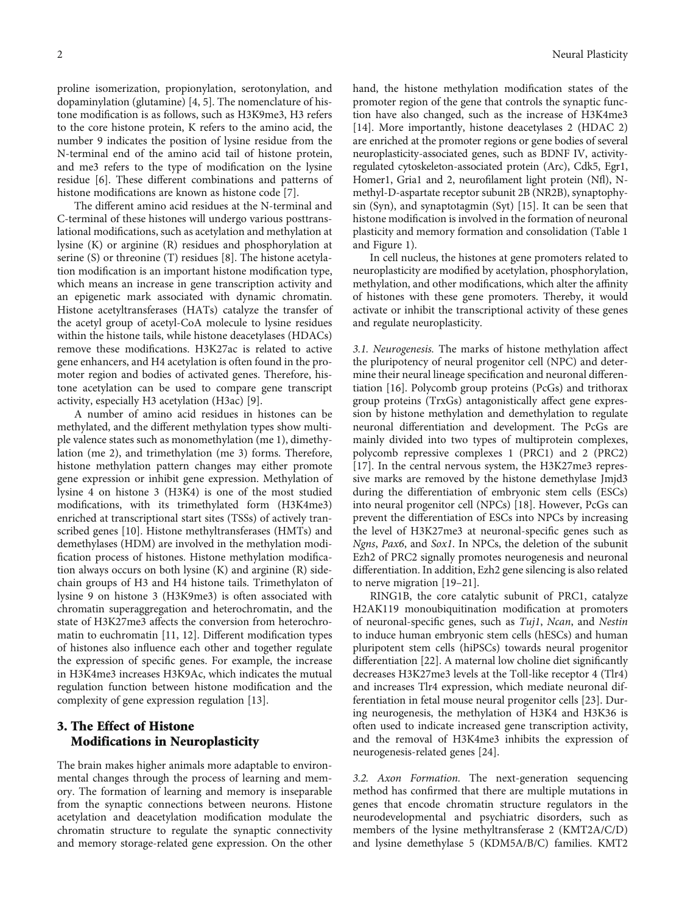proline isomerization, propionylation, serotonylation, and dopaminylation (glutamine) [\[4](#page-5-0), [5](#page-5-0)]. The nomenclature of histone modification is as follows, such as H3K9me3, H3 refers to the core histone protein, K refers to the amino acid, the number 9 indicates the position of lysine residue from the N-terminal end of the amino acid tail of histone protein, and me3 refers to the type of modification on the lysine residue [[6](#page-5-0)]. These different combinations and patterns of histone modifications are known as histone code [[7](#page-5-0)].

The different amino acid residues at the N-terminal and C-terminal of these histones will undergo various posttranslational modifications, such as acetylation and methylation at lysine (K) or arginine (R) residues and phosphorylation at serine (S) or threonine (T) residues [\[8\]](#page-5-0). The histone acetylation modification is an important histone modification type, which means an increase in gene transcription activity and an epigenetic mark associated with dynamic chromatin. Histone acetyltransferases (HATs) catalyze the transfer of the acetyl group of acetyl-CoA molecule to lysine residues within the histone tails, while histone deacetylases (HDACs) remove these modifications. H3K27ac is related to active gene enhancers, and H4 acetylation is often found in the promoter region and bodies of activated genes. Therefore, histone acetylation can be used to compare gene transcript activity, especially H3 acetylation (H3ac) [[9](#page-5-0)].

A number of amino acid residues in histones can be methylated, and the different methylation types show multiple valence states such as monomethylation (me 1), dimethylation (me 2), and trimethylation (me 3) forms. Therefore, histone methylation pattern changes may either promote gene expression or inhibit gene expression. Methylation of lysine 4 on histone 3 (H3K4) is one of the most studied modifications, with its trimethylated form (H3K4me3) enriched at transcriptional start sites (TSSs) of actively transcribed genes [[10](#page-5-0)]. Histone methyltransferases (HMTs) and demethylases (HDM) are involved in the methylation modification process of histones. Histone methylation modification always occurs on both lysine (K) and arginine (R) sidechain groups of H3 and H4 histone tails. Trimethylaton of lysine 9 on histone 3 (H3K9me3) is often associated with chromatin superaggregation and heterochromatin, and the state of H3K27me3 affects the conversion from heterochromatin to euchromatin [[11](#page-5-0), [12](#page-5-0)]. Different modification types of histones also influence each other and together regulate the expression of specific genes. For example, the increase in H3K4me3 increases H3K9Ac, which indicates the mutual regulation function between histone modification and the complexity of gene expression regulation [\[13\]](#page-5-0).

# 3. The Effect of Histone Modifications in Neuroplasticity

The brain makes higher animals more adaptable to environmental changes through the process of learning and memory. The formation of learning and memory is inseparable from the synaptic connections between neurons. Histone acetylation and deacetylation modification modulate the chromatin structure to regulate the synaptic connectivity and memory storage-related gene expression. On the other hand, the histone methylation modification states of the promoter region of the gene that controls the synaptic function have also changed, such as the increase of H3K4me3 [\[14\]](#page-5-0). More importantly, histone deacetylases 2 (HDAC 2) are enriched at the promoter regions or gene bodies of several neuroplasticity-associated genes, such as BDNF IV, activityregulated cytoskeleton-associated protein (Arc), Cdk5, Egr1, Homer1, Gria1 and 2, neurofilament light protein (Nfl), Nmethyl-D-aspartate receptor subunit 2B (NR2B), synaptophysin (Syn), and synaptotagmin (Syt) [[15](#page-5-0)]. It can be seen that histone modification is involved in the formation of neuronal plasticity and memory formation and consolidation (Table [1](#page-2-0) and Figure [1\)](#page-2-0).

In cell nucleus, the histones at gene promoters related to neuroplasticity are modified by acetylation, phosphorylation, methylation, and other modifications, which alter the affinity of histones with these gene promoters. Thereby, it would activate or inhibit the transcriptional activity of these genes and regulate neuroplasticity.

3.1. Neurogenesis. The marks of histone methylation affect the pluripotency of neural progenitor cell (NPC) and determine their neural lineage specification and neuronal differentiation [[16](#page-5-0)]. Polycomb group proteins (PcGs) and trithorax group proteins (TrxGs) antagonistically affect gene expression by histone methylation and demethylation to regulate neuronal differentiation and development. The PcGs are mainly divided into two types of multiprotein complexes, polycomb repressive complexes 1 (PRC1) and 2 (PRC2) [\[17\]](#page-5-0). In the central nervous system, the H3K27me3 repressive marks are removed by the histone demethylase Jmjd3 during the differentiation of embryonic stem cells (ESCs) into neural progenitor cell (NPCs) [[18](#page-5-0)]. However, PcGs can prevent the differentiation of ESCs into NPCs by increasing the level of H3K27me3 at neuronal-specific genes such as Ngns, Pax6, and Sox1. In NPCs, the deletion of the subunit Ezh2 of PRC2 signally promotes neurogenesis and neuronal differentiation. In addition, Ezh2 gene silencing is also related to nerve migration [\[19](#page-5-0)–[21](#page-5-0)].

RING1B, the core catalytic subunit of PRC1, catalyze H2AK119 monoubiquitination modification at promoters of neuronal-specific genes, such as Tuj1, Ncan, and Nestin to induce human embryonic stem cells (hESCs) and human pluripotent stem cells (hiPSCs) towards neural progenitor differentiation [[22](#page-5-0)]. A maternal low choline diet significantly decreases H3K27me3 levels at the Toll-like receptor 4 (Tlr4) and increases Tlr4 expression, which mediate neuronal differentiation in fetal mouse neural progenitor cells [[23](#page-5-0)]. During neurogenesis, the methylation of H3K4 and H3K36 is often used to indicate increased gene transcription activity, and the removal of H3K4me3 inhibits the expression of neurogenesis-related genes [\[24\]](#page-5-0).

3.2. Axon Formation. The next-generation sequencing method has confirmed that there are multiple mutations in genes that encode chromatin structure regulators in the neurodevelopmental and psychiatric disorders, such as members of the lysine methyltransferase 2 (KMT2A/C/D) and lysine demethylase 5 (KDM5A/B/C) families. KMT2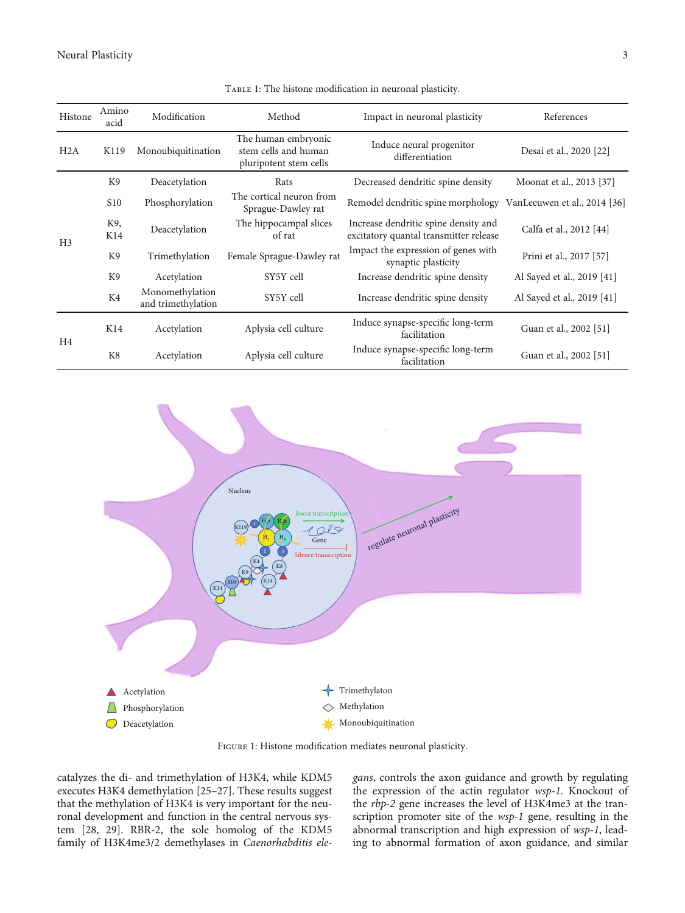<span id="page-2-0"></span>Neural Plasticity 3

| Histone        | Amino<br>acid   | Modification                          | Method                                                                | Impact in neuronal plasticity                                                  | References                 |
|----------------|-----------------|---------------------------------------|-----------------------------------------------------------------------|--------------------------------------------------------------------------------|----------------------------|
| H2A            | K119            | Monoubiquitination                    | The human embryonic<br>stem cells and human<br>pluripotent stem cells | Induce neural progenitor<br>differentiation                                    | Desai et al., 2020 [22]    |
| H <sub>3</sub> | K <sub>9</sub>  | Deacetylation                         | Rats                                                                  | Decreased dendritic spine density                                              | Moonat et al., 2013 [37]   |
|                | S <sub>10</sub> | Phosphorylation                       | The cortical neuron from<br>Sprague-Dawley rat                        | Remodel dendritic spine morphology VanLeeuwen et al., 2014 [36]                |                            |
|                | K9,<br>K14      | Deacetylation                         | The hippocampal slices<br>of rat                                      | Increase dendritic spine density and<br>excitatory quantal transmitter release | Calfa et al., 2012 [44]    |
|                | K9              | Trimethylation                        | Female Sprague-Dawley rat                                             | Impact the expression of genes with<br>synaptic plasticity                     | Prini et al., 2017 [57]    |
|                | K9              | Acetylation                           | SY5Y cell                                                             | Increase dendritic spine density                                               | Al Sayed et al., 2019 [41] |
|                | K4              | Monomethylation<br>and trimethylation | SY5Y cell                                                             | Increase dendritic spine density                                               | Al Sayed et al., 2019 [41] |
| H <sub>4</sub> | K14             | Acetylation                           | Aplysia cell culture                                                  | Induce synapse-specific long-term<br>facilitation                              | Guan et al., 2002 [51]     |
|                | K8              | Acetylation                           | Aplysia cell culture                                                  | Induce synapse-specific long-term<br>facilitation                              | Guan et al., 2002 [51]     |

TABLE 1: The histone modification in neuronal plasticity.



FIGURE 1: Histone modification mediates neuronal plasticity.

catalyzes the di- and trimethylation of H3K4, while KDM5 executes H3K4 demethylation [[25](#page-5-0)–[27\]](#page-5-0). These results suggest that the methylation of H3K4 is very important for the neuronal development and function in the central nervous system [[28](#page-5-0), [29](#page-5-0)]. RBR-2, the sole homolog of the KDM5 family of H3K4me3/2 demethylases in Caenorhabditis ele-

gans, controls the axon guidance and growth by regulating the expression of the actin regulator wsp-1. Knockout of the rbp-2 gene increases the level of H3K4me3 at the transcription promoter site of the wsp-1 gene, resulting in the abnormal transcription and high expression of wsp-1, leading to abnormal formation of axon guidance, and similar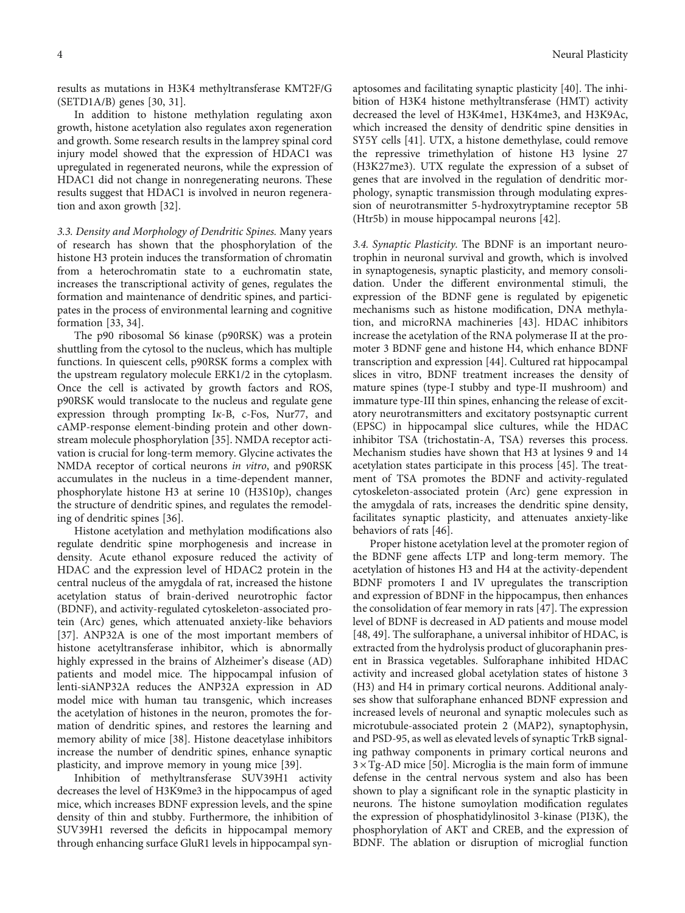results as mutations in H3K4 methyltransferase KMT2F/G (SETD1A/B) genes [[30](#page-6-0), [31](#page-6-0)].

In addition to histone methylation regulating axon growth, histone acetylation also regulates axon regeneration and growth. Some research results in the lamprey spinal cord injury model showed that the expression of HDAC1 was upregulated in regenerated neurons, while the expression of HDAC1 did not change in nonregenerating neurons. These results suggest that HDAC1 is involved in neuron regeneration and axon growth [\[32\]](#page-6-0).

3.3. Density and Morphology of Dendritic Spines. Many years of research has shown that the phosphorylation of the histone H3 protein induces the transformation of chromatin from a heterochromatin state to a euchromatin state, increases the transcriptional activity of genes, regulates the formation and maintenance of dendritic spines, and participates in the process of environmental learning and cognitive formation [\[33, 34](#page-6-0)].

The p90 ribosomal S6 kinase (p90RSK) was a protein shuttling from the cytosol to the nucleus, which has multiple functions. In quiescent cells, p90RSK forms a complex with the upstream regulatory molecule ERK1/2 in the cytoplasm. Once the cell is activated by growth factors and ROS, p90RSK would translocate to the nucleus and regulate gene expression through prompting I*κ*-B, c-Fos, Nur77, and cAMP-response element-binding protein and other downstream molecule phosphorylation [\[35\]](#page-6-0). NMDA receptor activation is crucial for long-term memory. Glycine activates the NMDA receptor of cortical neurons in vitro, and p90RSK accumulates in the nucleus in a time-dependent manner, phosphorylate histone H3 at serine 10 (H3S10p), changes the structure of dendritic spines, and regulates the remodeling of dendritic spines [[36](#page-6-0)].

Histone acetylation and methylation modifications also regulate dendritic spine morphogenesis and increase in density. Acute ethanol exposure reduced the activity of HDAC and the expression level of HDAC2 protein in the central nucleus of the amygdala of rat, increased the histone acetylation status of brain-derived neurotrophic factor (BDNF), and activity-regulated cytoskeleton-associated protein (Arc) genes, which attenuated anxiety-like behaviors [\[37](#page-6-0)]. ANP32A is one of the most important members of histone acetyltransferase inhibitor, which is abnormally highly expressed in the brains of Alzheimer's disease (AD) patients and model mice. The hippocampal infusion of lenti-siANP32A reduces the ANP32A expression in AD model mice with human tau transgenic, which increases the acetylation of histones in the neuron, promotes the formation of dendritic spines, and restores the learning and memory ability of mice [\[38](#page-6-0)]. Histone deacetylase inhibitors increase the number of dendritic spines, enhance synaptic plasticity, and improve memory in young mice [\[39\]](#page-6-0).

Inhibition of methyltransferase SUV39H1 activity decreases the level of H3K9me3 in the hippocampus of aged mice, which increases BDNF expression levels, and the spine density of thin and stubby. Furthermore, the inhibition of SUV39H1 reversed the deficits in hippocampal memory through enhancing surface GluR1 levels in hippocampal syn-

aptosomes and facilitating synaptic plasticity [\[40\]](#page-6-0). The inhibition of H3K4 histone methyltransferase (HMT) activity decreased the level of H3K4me1, H3K4me3, and H3K9Ac, which increased the density of dendritic spine densities in SY5Y cells [[41](#page-6-0)]. UTX, a histone demethylase, could remove the repressive trimethylation of histone H3 lysine 27 (H3K27me3). UTX regulate the expression of a subset of genes that are involved in the regulation of dendritic morphology, synaptic transmission through modulating expression of neurotransmitter 5-hydroxytryptamine receptor 5B (Htr5b) in mouse hippocampal neurons [[42](#page-6-0)].

3.4. Synaptic Plasticity. The BDNF is an important neurotrophin in neuronal survival and growth, which is involved in synaptogenesis, synaptic plasticity, and memory consolidation. Under the different environmental stimuli, the expression of the BDNF gene is regulated by epigenetic mechanisms such as histone modification, DNA methylation, and microRNA machineries [[43](#page-6-0)]. HDAC inhibitors increase the acetylation of the RNA polymerase II at the promoter 3 BDNF gene and histone H4, which enhance BDNF transcription and expression [[44](#page-6-0)]. Cultured rat hippocampal slices in vitro, BDNF treatment increases the density of mature spines (type-I stubby and type-II mushroom) and immature type-III thin spines, enhancing the release of excitatory neurotransmitters and excitatory postsynaptic current (EPSC) in hippocampal slice cultures, while the HDAC inhibitor TSA (trichostatin-A, TSA) reverses this process. Mechanism studies have shown that H3 at lysines 9 and 14 acetylation states participate in this process [\[45\]](#page-6-0). The treatment of TSA promotes the BDNF and activity-regulated cytoskeleton-associated protein (Arc) gene expression in the amygdala of rats, increases the dendritic spine density, facilitates synaptic plasticity, and attenuates anxiety-like behaviors of rats [[46](#page-6-0)].

Proper histone acetylation level at the promoter region of the BDNF gene affects LTP and long-term memory. The acetylation of histones H3 and H4 at the activity-dependent BDNF promoters I and IV upregulates the transcription and expression of BDNF in the hippocampus, then enhances the consolidation of fear memory in rats [[47](#page-6-0)]. The expression level of BDNF is decreased in AD patients and mouse model [\[48, 49](#page-6-0)]. The sulforaphane, a universal inhibitor of HDAC, is extracted from the hydrolysis product of glucoraphanin present in Brassica vegetables. Sulforaphane inhibited HDAC activity and increased global acetylation states of histone 3 (H3) and H4 in primary cortical neurons. Additional analyses show that sulforaphane enhanced BDNF expression and increased levels of neuronal and synaptic molecules such as microtubule-associated protein 2 (MAP2), synaptophysin, and PSD-95, as well as elevated levels of synaptic TrkB signaling pathway components in primary cortical neurons and  $3 \times$  Tg-AD mice [[50](#page-6-0)]. Microglia is the main form of immune defense in the central nervous system and also has been shown to play a significant role in the synaptic plasticity in neurons. The histone sumoylation modification regulates the expression of phosphatidylinositol 3-kinase (PI3K), the phosphorylation of AKT and CREB, and the expression of BDNF. The ablation or disruption of microglial function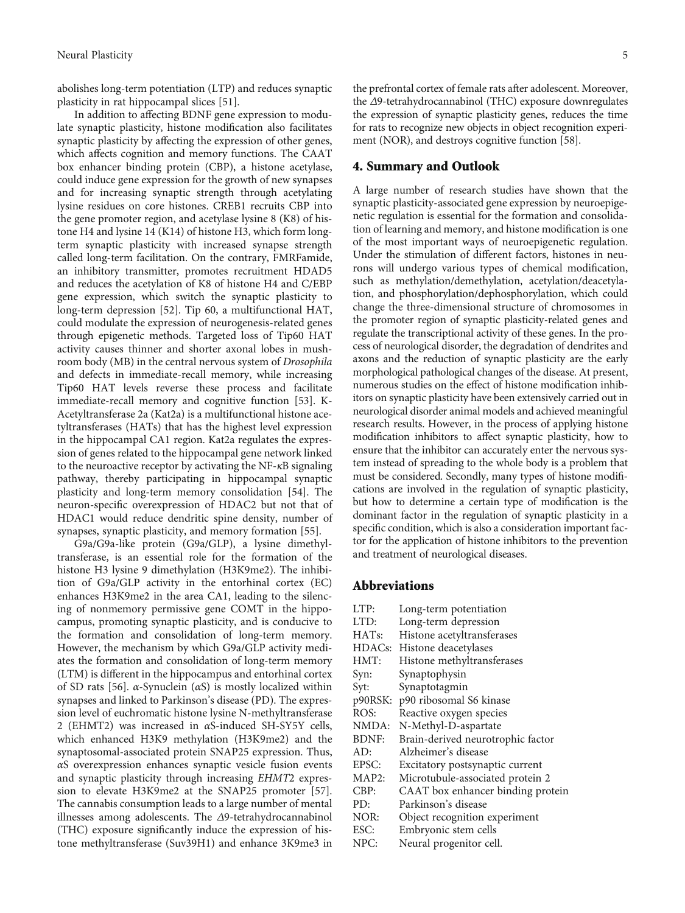abolishes long-term potentiation (LTP) and reduces synaptic plasticity in rat hippocampal slices [[51](#page-6-0)].

In addition to affecting BDNF gene expression to modulate synaptic plasticity, histone modification also facilitates synaptic plasticity by affecting the expression of other genes, which affects cognition and memory functions. The CAAT box enhancer binding protein (CBP), a histone acetylase, could induce gene expression for the growth of new synapses and for increasing synaptic strength through acetylating lysine residues on core histones. CREB1 recruits CBP into the gene promoter region, and acetylase lysine 8 (K8) of histone H4 and lysine 14 (K14) of histone H3, which form longterm synaptic plasticity with increased synapse strength called long-term facilitation. On the contrary, FMRFamide, an inhibitory transmitter, promotes recruitment HDAD5 and reduces the acetylation of K8 of histone H4 and C/EBP gene expression, which switch the synaptic plasticity to long-term depression [\[52\]](#page-6-0). Tip 60, a multifunctional HAT, could modulate the expression of neurogenesis-related genes through epigenetic methods. Targeted loss of Tip60 HAT activity causes thinner and shorter axonal lobes in mushroom body (MB) in the central nervous system of Drosophila and defects in immediate-recall memory, while increasing Tip60 HAT levels reverse these process and facilitate immediate-recall memory and cognitive function [\[53\]](#page-6-0). K-Acetyltransferase 2a (Kat2a) is a multifunctional histone acetyltransferases (HATs) that has the highest level expression in the hippocampal CA1 region. Kat2a regulates the expression of genes related to the hippocampal gene network linked to the neuroactive receptor by activating the NF-*κ*B signaling pathway, thereby participating in hippocampal synaptic plasticity and long-term memory consolidation [\[54](#page-6-0)]. The neuron-specific overexpression of HDAC2 but not that of HDAC1 would reduce dendritic spine density, number of synapses, synaptic plasticity, and memory formation [\[55](#page-6-0)].

G9a/G9a-like protein (G9a/GLP), a lysine dimethyltransferase, is an essential role for the formation of the histone H3 lysine 9 dimethylation (H3K9me2). The inhibition of G9a/GLP activity in the entorhinal cortex (EC) enhances H3K9me2 in the area CA1, leading to the silencing of nonmemory permissive gene COMT in the hippocampus, promoting synaptic plasticity, and is conducive to the formation and consolidation of long-term memory. However, the mechanism by which G9a/GLP activity mediates the formation and consolidation of long-term memory (LTM) is different in the hippocampus and entorhinal cortex of SD rats [[56](#page-6-0)]. *α*-Synuclein (*α*S) is mostly localized within synapses and linked to Parkinson's disease (PD). The expression level of euchromatic histone lysine N-methyltransferase 2 (EHMT2) was increased in *α*S-induced SH-SY5Y cells, which enhanced H3K9 methylation (H3K9me2) and the synaptosomal-associated protein SNAP25 expression. Thus, *α*S overexpression enhances synaptic vesicle fusion events and synaptic plasticity through increasing ΕΗΜΤ2 expression to elevate H3K9me2 at the SNAP25 promoter [[57](#page-6-0)]. The cannabis consumption leads to a large number of mental illnesses among adolescents. The *Δ*9-tetrahydrocannabinol (THC) exposure significantly induce the expression of histone methyltransferase (Suv39H1) and enhance 3K9me3 in

the prefrontal cortex of female rats after adolescent. Moreover, the *Δ*9-tetrahydrocannabinol (THC) exposure downregulates the expression of synaptic plasticity genes, reduces the time for rats to recognize new objects in object recognition experiment (NOR), and destroys cognitive function [[58](#page-6-0)].

#### 4. Summary and Outlook

A large number of research studies have shown that the synaptic plasticity-associated gene expression by neuroepigenetic regulation is essential for the formation and consolidation of learning and memory, and histone modification is one of the most important ways of neuroepigenetic regulation. Under the stimulation of different factors, histones in neurons will undergo various types of chemical modification, such as methylation/demethylation, acetylation/deacetylation, and phosphorylation/dephosphorylation, which could change the three-dimensional structure of chromosomes in the promoter region of synaptic plasticity-related genes and regulate the transcriptional activity of these genes. In the process of neurological disorder, the degradation of dendrites and axons and the reduction of synaptic plasticity are the early morphological pathological changes of the disease. At present, numerous studies on the effect of histone modification inhibitors on synaptic plasticity have been extensively carried out in neurological disorder animal models and achieved meaningful research results. However, in the process of applying histone modification inhibitors to affect synaptic plasticity, how to ensure that the inhibitor can accurately enter the nervous system instead of spreading to the whole body is a problem that must be considered. Secondly, many types of histone modifications are involved in the regulation of synaptic plasticity, but how to determine a certain type of modification is the dominant factor in the regulation of synaptic plasticity in a specific condition, which is also a consideration important factor for the application of histone inhibitors to the prevention and treatment of neurological diseases.

#### Abbreviations

LTP: Long-term potentiation LTD: Long-term depression HATs: Histone acetyltransferases HDACs: Histone deacetylases HMT: Histone methyltransferases Syn: Synaptophysin Syt: Synaptotagmin p90RSK: p90 ribosomal S6 kinase ROS: Reactive oxygen species NMDA: N-Methyl-D-aspartate BDNF: Brain-derived neurotrophic factor AD: Alzheimer's disease EPSC: Excitatory postsynaptic current MAP2: Microtubule-associated protein 2 CBP: CAAT box enhancer binding protein PD: Parkinson's disease NOR: Object recognition experiment ESC: Embryonic stem cells NPC: Neural progenitor cell.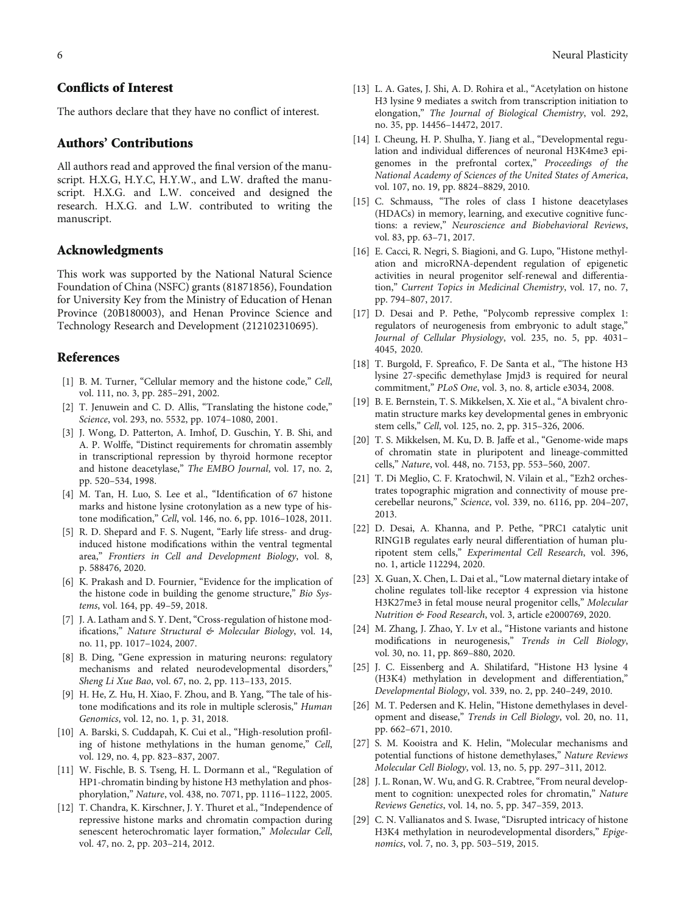### <span id="page-5-0"></span>Conflicts of Interest

The authors declare that they have no conflict of interest.

#### Authors' Contributions

All authors read and approved the final version of the manuscript. H.X.G, H.Y.C, H.Y.W., and L.W. drafted the manuscript. H.X.G. and L.W. conceived and designed the research. H.X.G. and L.W. contributed to writing the manuscript.

#### Acknowledgments

This work was supported by the National Natural Science Foundation of China (NSFC) grants (81871856), Foundation for University Key from the Ministry of Education of Henan Province (20B180003), and Henan Province Science and Technology Research and Development (212102310695).

#### References

- [1] B. M. Turner, "Cellular memory and the histone code," Cell, vol. 111, no. 3, pp. 285–291, 2002.
- [2] T. Jenuwein and C. D. Allis, "Translating the histone code," Science, vol. 293, no. 5532, pp. 1074-1080, 2001.
- [3] J. Wong, D. Patterton, A. Imhof, D. Guschin, Y. B. Shi, and A. P. Wolffe, "Distinct requirements for chromatin assembly in transcriptional repression by thyroid hormone receptor and histone deacetylase," The EMBO Journal, vol. 17, no. 2, pp. 520–534, 1998.
- [4] M. Tan, H. Luo, S. Lee et al., "Identification of 67 histone marks and histone lysine crotonylation as a new type of histone modification," Cell, vol. 146, no. 6, pp. 1016–1028, 2011.
- [5] R. D. Shepard and F. S. Nugent, "Early life stress- and druginduced histone modifications within the ventral tegmental area," Frontiers in Cell and Development Biology, vol. 8, p. 588476, 2020.
- [6] K. Prakash and D. Fournier, "Evidence for the implication of the histone code in building the genome structure," Bio Systems, vol. 164, pp. 49–59, 2018.
- [7] J. A. Latham and S. Y. Dent, "Cross-regulation of histone modifications," Nature Structural & Molecular Biology, vol. 14, no. 11, pp. 1017–1024, 2007.
- [8] B. Ding, "Gene expression in maturing neurons: regulatory mechanisms and related neurodevelopmental disorders," Sheng Li Xue Bao, vol. 67, no. 2, pp. 113–133, 2015.
- [9] H. He, Z. Hu, H. Xiao, F. Zhou, and B. Yang, "The tale of histone modifications and its role in multiple sclerosis," Human Genomics, vol. 12, no. 1, p. 31, 2018.
- [10] A. Barski, S. Cuddapah, K. Cui et al., "High-resolution profiling of histone methylations in the human genome," Cell, vol. 129, no. 4, pp. 823–837, 2007.
- [11] W. Fischle, B. S. Tseng, H. L. Dormann et al., "Regulation of HP1-chromatin binding by histone H3 methylation and phosphorylation," Nature, vol. 438, no. 7071, pp. 1116–1122, 2005.
- [12] T. Chandra, K. Kirschner, J. Y. Thuret et al., "Independence of repressive histone marks and chromatin compaction during senescent heterochromatic layer formation," Molecular Cell, vol. 47, no. 2, pp. 203–214, 2012.
- [13] L. A. Gates, J. Shi, A. D. Rohira et al., "Acetylation on histone H3 lysine 9 mediates a switch from transcription initiation to elongation," The Journal of Biological Chemistry, vol. 292, no. 35, pp. 14456–14472, 2017.
- [14] I. Cheung, H. P. Shulha, Y. Jiang et al., "Developmental regulation and individual differences of neuronal H3K4me3 epigenomes in the prefrontal cortex," Proceedings of the National Academy of Sciences of the United States of America, vol. 107, no. 19, pp. 8824–8829, 2010.
- [15] C. Schmauss, "The roles of class I histone deacetylases (HDACs) in memory, learning, and executive cognitive functions: a review," Neuroscience and Biobehavioral Reviews, vol. 83, pp. 63–71, 2017.
- [16] E. Cacci, R. Negri, S. Biagioni, and G. Lupo, "Histone methylation and microRNA-dependent regulation of epigenetic activities in neural progenitor self-renewal and differentiation," Current Topics in Medicinal Chemistry, vol. 17, no. 7, pp. 794–807, 2017.
- [17] D. Desai and P. Pethe, "Polycomb repressive complex 1: regulators of neurogenesis from embryonic to adult stage," Journal of Cellular Physiology, vol. 235, no. 5, pp. 4031– 4045, 2020.
- [18] T. Burgold, F. Spreafico, F. De Santa et al., "The histone H3 lysine 27-specific demethylase Jmjd3 is required for neural commitment," PLoS One, vol. 3, no. 8, article e3034, 2008.
- [19] B. E. Bernstein, T. S. Mikkelsen, X. Xie et al., "A bivalent chromatin structure marks key developmental genes in embryonic stem cells," Cell, vol. 125, no. 2, pp. 315–326, 2006.
- [20] T. S. Mikkelsen, M. Ku, D. B. Jaffe et al., "Genome-wide maps of chromatin state in pluripotent and lineage-committed cells," Nature, vol. 448, no. 7153, pp. 553–560, 2007.
- [21] T. Di Meglio, C. F. Kratochwil, N. Vilain et al., "Ezh2 orchestrates topographic migration and connectivity of mouse precerebellar neurons," Science, vol. 339, no. 6116, pp. 204–207, 2013.
- [22] D. Desai, A. Khanna, and P. Pethe, "PRC1 catalytic unit RING1B regulates early neural differentiation of human pluripotent stem cells," Experimental Cell Research, vol. 396, no. 1, article 112294, 2020.
- [23] X. Guan, X. Chen, L. Dai et al., "Low maternal dietary intake of choline regulates toll-like receptor 4 expression via histone H3K27me3 in fetal mouse neural progenitor cells," Molecular Nutrition & Food Research, vol. 3, article e2000769, 2020.
- [24] M. Zhang, J. Zhao, Y. Lv et al., "Histone variants and histone modifications in neurogenesis," Trends in Cell Biology, vol. 30, no. 11, pp. 869–880, 2020.
- [25] J. C. Eissenberg and A. Shilatifard, "Histone H3 lysine 4 (H3K4) methylation in development and differentiation," Developmental Biology, vol. 339, no. 2, pp. 240–249, 2010.
- [26] M. T. Pedersen and K. Helin, "Histone demethylases in development and disease," Trends in Cell Biology, vol. 20, no. 11, pp. 662–671, 2010.
- [27] S. M. Kooistra and K. Helin, "Molecular mechanisms and potential functions of histone demethylases," Nature Reviews Molecular Cell Biology, vol. 13, no. 5, pp. 297–311, 2012.
- [28] J. L. Ronan, W. Wu, and G. R. Crabtree, "From neural development to cognition: unexpected roles for chromatin," Nature Reviews Genetics, vol. 14, no. 5, pp. 347–359, 2013.
- [29] C. N. Vallianatos and S. Iwase, "Disrupted intricacy of histone H3K4 methylation in neurodevelopmental disorders," Epigenomics, vol. 7, no. 3, pp. 503–519, 2015.